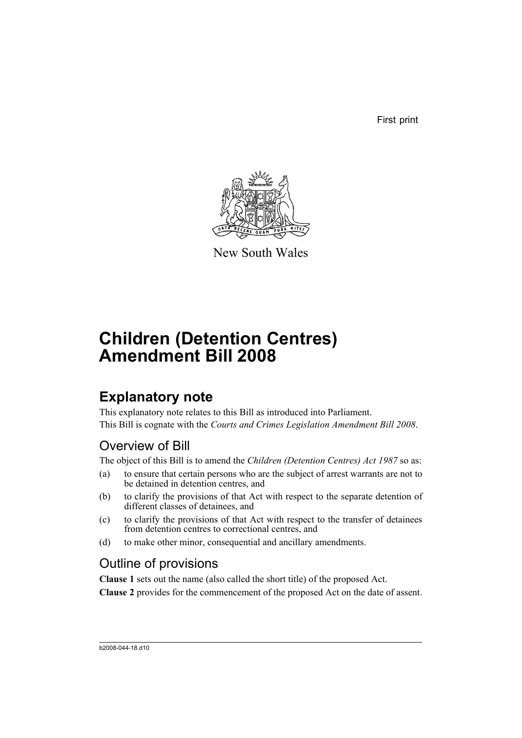First print



New South Wales

# **Children (Detention Centres) Amendment Bill 2008**

## **Explanatory note**

This explanatory note relates to this Bill as introduced into Parliament. This Bill is cognate with the *Courts and Crimes Legislation Amendment Bill 2008*.

## Overview of Bill

The object of this Bill is to amend the *Children (Detention Centres) Act 1987* so as:

- (a) to ensure that certain persons who are the subject of arrest warrants are not to be detained in detention centres, and
- (b) to clarify the provisions of that Act with respect to the separate detention of different classes of detainees, and
- (c) to clarify the provisions of that Act with respect to the transfer of detainees from detention centres to correctional centres, and
- (d) to make other minor, consequential and ancillary amendments.

## Outline of provisions

**Clause 1** sets out the name (also called the short title) of the proposed Act.

**Clause 2** provides for the commencement of the proposed Act on the date of assent.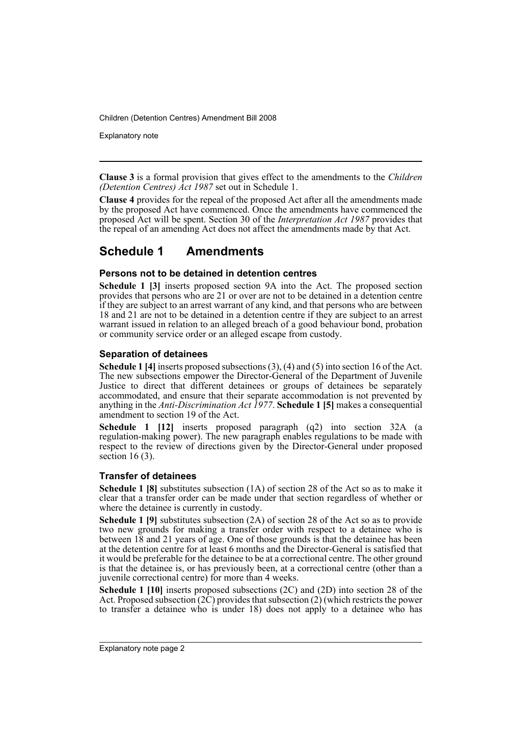Explanatory note

**Clause 3** is a formal provision that gives effect to the amendments to the *Children (Detention Centres) Act 1987* set out in Schedule 1.

**Clause 4** provides for the repeal of the proposed Act after all the amendments made by the proposed Act have commenced. Once the amendments have commenced the proposed Act will be spent. Section 30 of the *Interpretation Act 1987* provides that the repeal of an amending Act does not affect the amendments made by that Act.

### **Schedule 1 Amendments**

#### **Persons not to be detained in detention centres**

**Schedule 1 [3]** inserts proposed section 9A into the Act. The proposed section provides that persons who are 21 or over are not to be detained in a detention centre if they are subject to an arrest warrant of any kind, and that persons who are between 18 and 21 are not to be detained in a detention centre if they are subject to an arrest warrant issued in relation to an alleged breach of a good behaviour bond, probation or community service order or an alleged escape from custody.

#### **Separation of detainees**

**Schedule 1 [4]** inserts proposed subsections (3), (4) and (5) into section 16 of the Act. The new subsections empower the Director-General of the Department of Juvenile Justice to direct that different detainees or groups of detainees be separately accommodated, and ensure that their separate accommodation is not prevented by anything in the *Anti-Discrimination Act 1977*. **Schedule 1 [5]** makes a consequential amendment to section 19 of the Act.

**Schedule 1 [12]** inserts proposed paragraph (q2) into section 32A (a regulation-making power). The new paragraph enables regulations to be made with respect to the review of directions given by the Director-General under proposed section  $16(3)$ .

#### **Transfer of detainees**

**Schedule 1 [8]** substitutes subsection (1A) of section 28 of the Act so as to make it clear that a transfer order can be made under that section regardless of whether or where the detainee is currently in custody.

**Schedule 1 [9]** substitutes subsection (2A) of section 28 of the Act so as to provide two new grounds for making a transfer order with respect to a detainee who is between 18 and 21 years of age. One of those grounds is that the detainee has been at the detention centre for at least 6 months and the Director-General is satisfied that it would be preferable for the detainee to be at a correctional centre. The other ground is that the detainee is, or has previously been, at a correctional centre (other than a juvenile correctional centre) for more than 4 weeks.

**Schedule 1 [10]** inserts proposed subsections (2C) and (2D) into section 28 of the Act. Proposed subsection  $(2\hat{C})$  provides that subsection  $(2)$  (which restricts the power to transfer a detainee who is under 18) does not apply to a detainee who has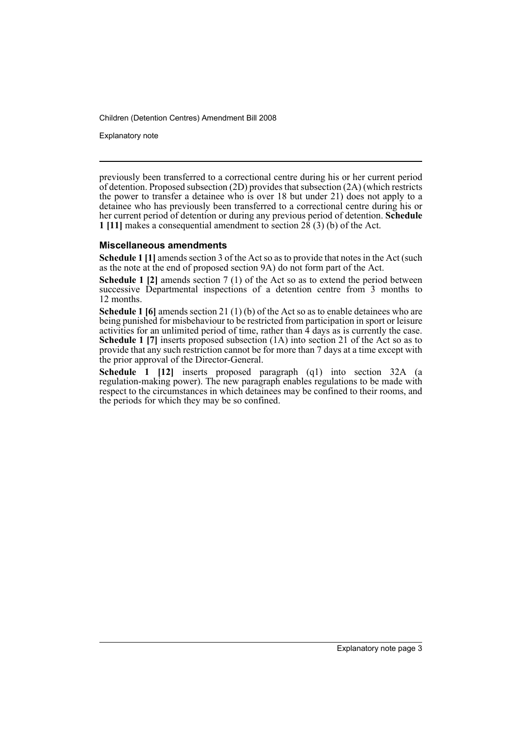Explanatory note

previously been transferred to a correctional centre during his or her current period of detention. Proposed subsection (2D) provides that subsection (2A) (which restricts the power to transfer a detainee who is over 18 but under 21) does not apply to a detainee who has previously been transferred to a correctional centre during his or her current period of detention or during any previous period of detention. **Schedule 1 [11]** makes a consequential amendment to section 28 (3) (b) of the Act.

#### **Miscellaneous amendments**

**Schedule 1 [1]** amends section 3 of the Act so as to provide that notes in the Act (such as the note at the end of proposed section 9A) do not form part of the Act.

**Schedule 1 [2]** amends section 7 (1) of the Act so as to extend the period between successive Departmental inspections of a detention centre from 3 months to 12 months.

**Schedule 1 [6]** amends section 21 (1) (b) of the Act so as to enable detainees who are being punished for misbehaviour to be restricted from participation in sport or leisure activities for an unlimited period of time, rather than  $\hat{4}$  days as is currently the case. **Schedule 1 [7]** inserts proposed subsection (1A) into section 21 of the Act so as to provide that any such restriction cannot be for more than 7 days at a time except with the prior approval of the Director-General.

**Schedule 1 [12]** inserts proposed paragraph (q1) into section 32A (a regulation-making power). The new paragraph enables regulations to be made with respect to the circumstances in which detainees may be confined to their rooms, and the periods for which they may be so confined.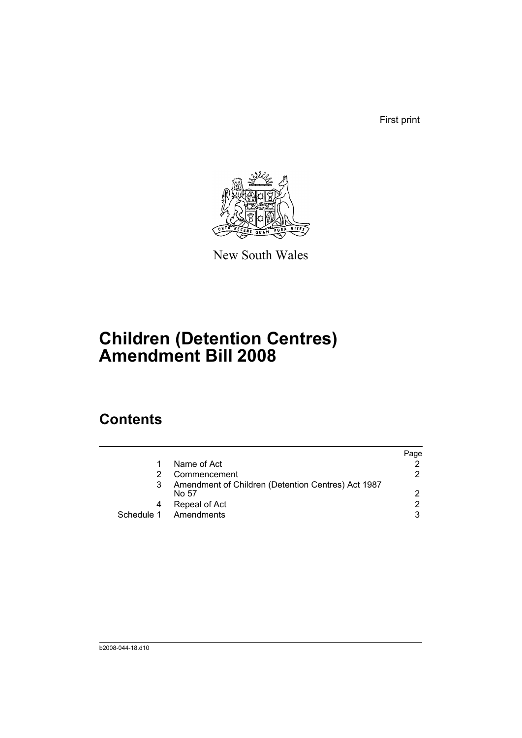First print



New South Wales

# **Children (Detention Centres) Amendment Bill 2008**

## **Contents**

|   |                                                             | Page          |
|---|-------------------------------------------------------------|---------------|
|   | Name of Act                                                 |               |
|   | Commencement                                                | 2             |
|   | Amendment of Children (Detention Centres) Act 1987<br>No 57 | $\mathcal{P}$ |
| 4 | Repeal of Act                                               | 2             |
|   | Schedule 1 Amendments                                       | 3             |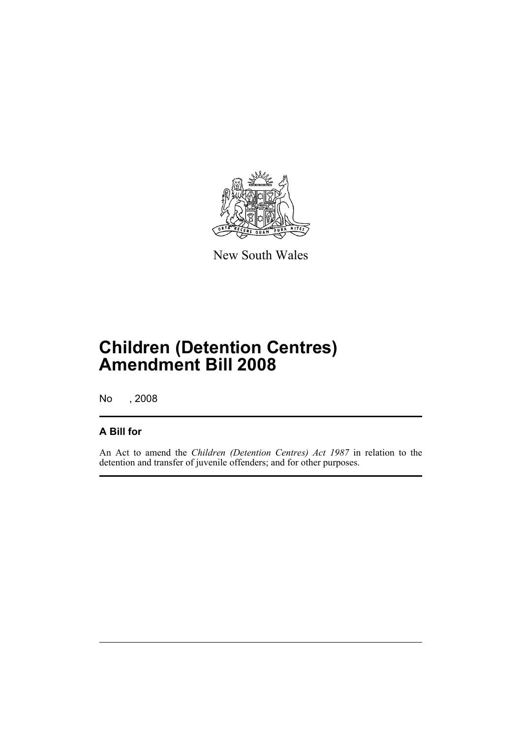

New South Wales

# **Children (Detention Centres) Amendment Bill 2008**

No , 2008

### **A Bill for**

An Act to amend the *Children (Detention Centres) Act 1987* in relation to the detention and transfer of juvenile offenders; and for other purposes.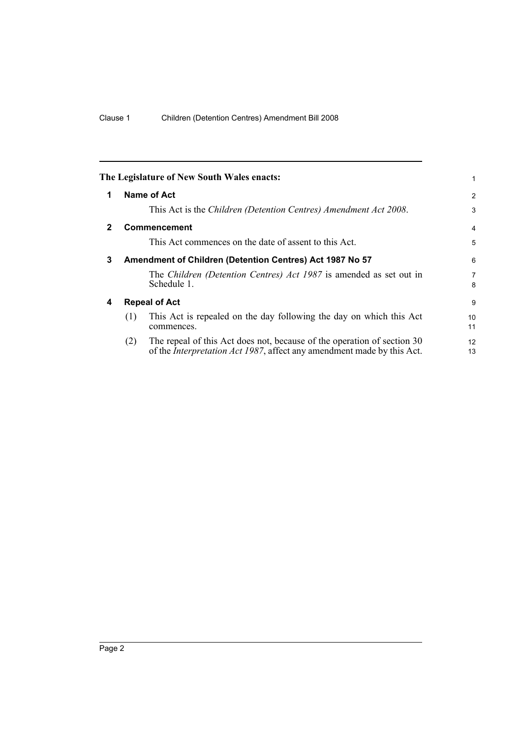<span id="page-7-3"></span><span id="page-7-2"></span><span id="page-7-1"></span><span id="page-7-0"></span>

| The Legislature of New South Wales enacts:                                                                                                                       |                     |
|------------------------------------------------------------------------------------------------------------------------------------------------------------------|---------------------|
| <b>Name of Act</b><br>$\mathbf 1$                                                                                                                                | $\overline{2}$      |
| This Act is the Children (Detention Centres) Amendment Act 2008.                                                                                                 | 3                   |
| $\mathbf{2}$<br><b>Commencement</b>                                                                                                                              | $\overline{4}$      |
| This Act commences on the date of assent to this Act.                                                                                                            | 5                   |
| 3<br>Amendment of Children (Detention Centres) Act 1987 No 57                                                                                                    | 6                   |
| The Children (Detention Centres) Act 1987 is amended as set out in<br>Schedule 1.                                                                                | $\overline{7}$<br>8 |
| <b>Repeal of Act</b><br>4                                                                                                                                        | 9                   |
| This Act is repealed on the day following the day on which this Act<br>(1)<br>commences.                                                                         | 10<br>11            |
| The repeal of this Act does not, because of the operation of section 30<br>(2)<br>of the <i>Interpretation Act 1987</i> , affect any amendment made by this Act. | 12<br>13            |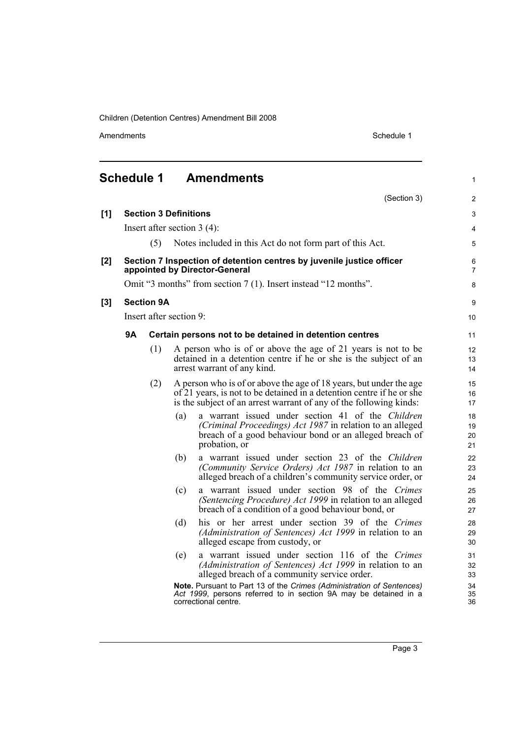Amendments Schedule 1

1

<span id="page-8-0"></span>

| <b>Schedule 1</b> | <b>Amendments</b> |
|-------------------|-------------------|
|-------------------|-------------------|

|       |           |                              |     | (Section 3)                                                                                                                                                                                                       | $\overline{2}$       |
|-------|-----------|------------------------------|-----|-------------------------------------------------------------------------------------------------------------------------------------------------------------------------------------------------------------------|----------------------|
| $[1]$ |           | <b>Section 3 Definitions</b> |     |                                                                                                                                                                                                                   | $\mathfrak{S}$       |
|       |           |                              |     | Insert after section $3(4)$ :                                                                                                                                                                                     | 4                    |
|       |           | (5)                          |     | Notes included in this Act do not form part of this Act.                                                                                                                                                          | 5                    |
| [2]   |           |                              |     | Section 7 Inspection of detention centres by juvenile justice officer<br>appointed by Director-General                                                                                                            | 6<br>$\overline{7}$  |
|       |           |                              |     | Omit "3 months" from section 7 (1). Insert instead "12 months".                                                                                                                                                   | 8                    |
| [3]   |           | <b>Section 9A</b>            |     |                                                                                                                                                                                                                   | 9                    |
|       |           | Insert after section 9:      |     |                                                                                                                                                                                                                   | 10                   |
|       | <b>9A</b> |                              |     | Certain persons not to be detained in detention centres                                                                                                                                                           | 11                   |
|       |           | (1)                          |     | A person who is of or above the age of 21 years is not to be<br>detained in a detention centre if he or she is the subject of an<br>arrest warrant of any kind.                                                   | 12<br>13<br>14       |
|       |           | (2)                          |     | A person who is of or above the age of 18 years, but under the age<br>of 21 years, is not to be detained in a detention centre if he or she<br>is the subject of an arrest warrant of any of the following kinds: | 15<br>16<br>17       |
|       |           |                              | (a) | a warrant issued under section 41 of the Children<br>(Criminal Proceedings) Act 1987 in relation to an alleged<br>breach of a good behaviour bond or an alleged breach of<br>probation, or                        | 18<br>19<br>20<br>21 |
|       |           |                              | (b) | a warrant issued under section 23 of the Children<br>(Community Service Orders) Act 1987 in relation to an<br>alleged breach of a children's community service order, or                                          | 22<br>23<br>24       |
|       |           |                              | (c) | a warrant issued under section 98 of the Crimes<br>(Sentencing Procedure) Act 1999 in relation to an alleged<br>breach of a condition of a good behaviour bond, or                                                | 25<br>26<br>27       |
|       |           |                              | (d) | his or her arrest under section 39 of the Crimes<br>(Administration of Sentences) Act 1999 in relation to an<br>alleged escape from custody, or                                                                   | 28<br>29<br>30       |
|       |           |                              | (e) | a warrant issued under section 116 of the Crimes<br>(Administration of Sentences) Act 1999 in relation to an<br>alleged breach of a community service order.                                                      | 31<br>32<br>33       |
|       |           |                              |     | Note. Pursuant to Part 13 of the Crimes (Administration of Sentences)<br>Act 1999, persons referred to in section 9A may be detained in a<br>correctional centre.                                                 | 34<br>35<br>36       |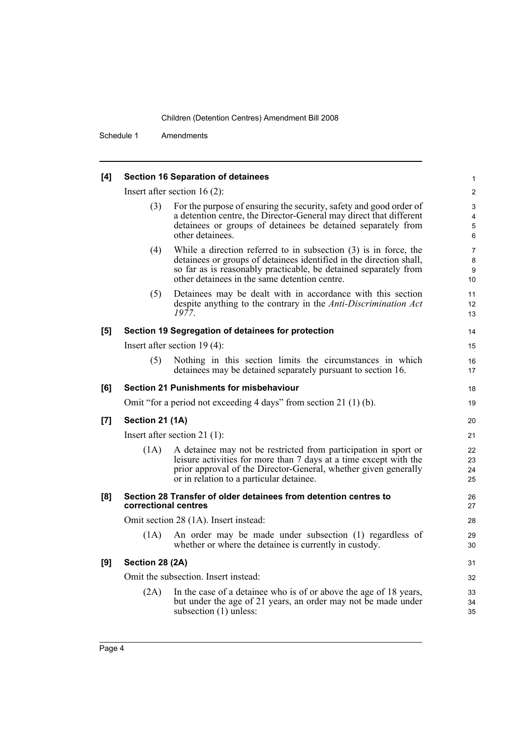Schedule 1 Amendments

| [4] |                      | <b>Section 16 Separation of detainees</b>                                                                                                                                                                                                                      | 1                                             |
|-----|----------------------|----------------------------------------------------------------------------------------------------------------------------------------------------------------------------------------------------------------------------------------------------------------|-----------------------------------------------|
|     |                      | Insert after section $16(2)$ :                                                                                                                                                                                                                                 | $\overline{c}$                                |
|     | (3)                  | For the purpose of ensuring the security, safety and good order of<br>a detention centre, the Director-General may direct that different<br>detainees or groups of detainees be detained separately from<br>other detainees.                                   | 3<br>4<br>$\mathbf 5$<br>$\,6\,$              |
|     | (4)                  | While a direction referred to in subsection $(3)$ is in force, the<br>detainees or groups of detainees identified in the direction shall,<br>so far as is reasonably practicable, be detained separately from<br>other detainees in the same detention centre. | $\overline{7}$<br>8<br>$\boldsymbol{9}$<br>10 |
|     | (5)                  | Detainees may be dealt with in accordance with this section<br>despite anything to the contrary in the Anti-Discrimination Act<br>1977.                                                                                                                        | 11<br>12<br>13                                |
| [5] |                      | Section 19 Segregation of detainees for protection                                                                                                                                                                                                             | 14                                            |
|     |                      | Insert after section $19(4)$ :                                                                                                                                                                                                                                 | 15                                            |
|     | (5)                  | Nothing in this section limits the circumstances in which<br>detainees may be detained separately pursuant to section 16.                                                                                                                                      | 16<br>17                                      |
| [6] |                      | <b>Section 21 Punishments for misbehaviour</b>                                                                                                                                                                                                                 | 18                                            |
|     |                      | Omit "for a period not exceeding 4 days" from section 21 (1) (b).                                                                                                                                                                                              | 19                                            |
| [7] | Section 21 (1A)      |                                                                                                                                                                                                                                                                | 20                                            |
|     |                      | Insert after section 21 $(1)$ :                                                                                                                                                                                                                                | 21                                            |
|     | (1A)                 | A detainee may not be restricted from participation in sport or<br>leisure activities for more than 7 days at a time except with the<br>prior approval of the Director-General, whether given generally<br>or in relation to a particular detainee.            | 22<br>23<br>24<br>25                          |
| [8] | correctional centres | Section 28 Transfer of older detainees from detention centres to                                                                                                                                                                                               | 26<br>27                                      |
|     |                      | Omit section 28 (1A). Insert instead:                                                                                                                                                                                                                          | 28                                            |
|     | (1A)                 | An order may be made under subsection (1) regardless of<br>whether or where the detainee is currently in custody.                                                                                                                                              | 29<br>30                                      |
| [9] | Section 28 (2A)      |                                                                                                                                                                                                                                                                | 31                                            |
|     |                      | Omit the subsection. Insert instead:                                                                                                                                                                                                                           | 32                                            |
|     | (2A)                 | In the case of a detainee who is of or above the age of 18 years,<br>but under the age of 21 years, an order may not be made under<br>subsection (1) unless:                                                                                                   | 33<br>34<br>35                                |
|     |                      |                                                                                                                                                                                                                                                                |                                               |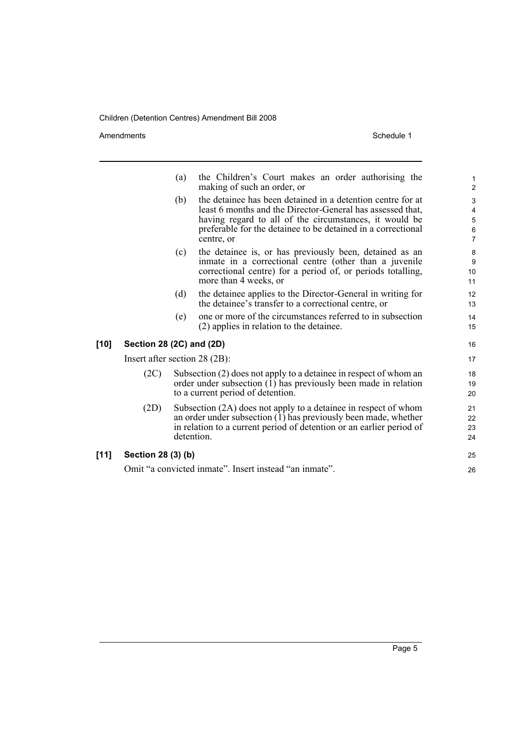Amendments Schedule 1

|        |                                 | (a) | the Children's Court makes an order authorising the<br>making of such an order, or                                                                                                                                                                                | $\mathbf{1}$<br>$\overline{c}$                                            |
|--------|---------------------------------|-----|-------------------------------------------------------------------------------------------------------------------------------------------------------------------------------------------------------------------------------------------------------------------|---------------------------------------------------------------------------|
|        |                                 | (b) | the detainee has been detained in a detention centre for at<br>least 6 months and the Director-General has assessed that,<br>having regard to all of the circumstances, it would be<br>preferable for the detainee to be detained in a correctional<br>centre, or | $\mathsf 3$<br>$\overline{4}$<br>$\mathbf 5$<br>$\,6\,$<br>$\overline{7}$ |
|        |                                 | (c) | the detainee is, or has previously been, detained as an<br>inmate in a correctional centre (other than a juvenile<br>correctional centre) for a period of, or periods totalling,<br>more than 4 weeks, or                                                         | $\bf 8$<br>9<br>10<br>11                                                  |
|        |                                 | (d) | the detainee applies to the Director-General in writing for<br>the detainee's transfer to a correctional centre, or                                                                                                                                               | 12<br>13                                                                  |
|        |                                 | (e) | one or more of the circumstances referred to in subsection<br>(2) applies in relation to the detainee.                                                                                                                                                            | 14<br>15                                                                  |
| $[10]$ | Section 28 (2C) and (2D)        |     |                                                                                                                                                                                                                                                                   | 16                                                                        |
|        | Insert after section $28(2B)$ : |     |                                                                                                                                                                                                                                                                   | 17                                                                        |
|        | (2C)                            |     | Subsection (2) does not apply to a detainee in respect of whom an<br>order under subsection (1) has previously been made in relation<br>to a current period of detention.                                                                                         | 18<br>19<br>20                                                            |
|        | (2D)                            |     | Subsection (2A) does not apply to a detainee in respect of whom<br>an order under subsection (1) has previously been made, whether<br>in relation to a current period of detention or an earlier period of<br>detention.                                          | 21<br>22<br>23<br>24                                                      |
| [11]   | Section 28 (3) (b)              |     |                                                                                                                                                                                                                                                                   | 25                                                                        |
|        |                                 |     | Omit "a convicted inmate". Insert instead "an inmate".                                                                                                                                                                                                            | 26                                                                        |